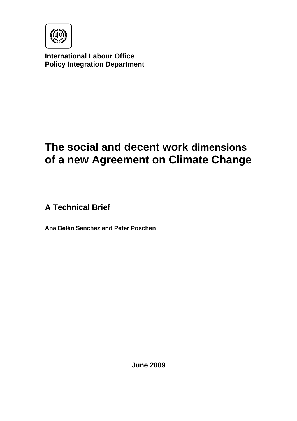

**International Labour Office Policy Integration Department** 

# **The social and decent work dimensions of a new Agreement on Climate Change**

**A Technical Brief** 

**Ana Belén Sanchez and Peter Poschen** 

**June 2009**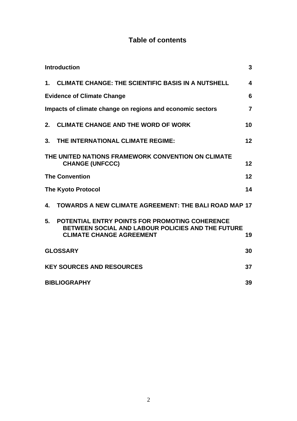## **Table of contents**

| <b>Introduction</b><br>3                                                    |                                                                                                                                               |                 |  |
|-----------------------------------------------------------------------------|-----------------------------------------------------------------------------------------------------------------------------------------------|-----------------|--|
| $\mathbf 1$ .                                                               | <b>CLIMATE CHANGE: THE SCIENTIFIC BASIS IN A NUTSHELL</b>                                                                                     | 4               |  |
| 6<br><b>Evidence of Climate Change</b>                                      |                                                                                                                                               |                 |  |
| Impacts of climate change on regions and economic sectors<br>$\overline{7}$ |                                                                                                                                               |                 |  |
| 2.                                                                          | <b>CLIMATE CHANGE AND THE WORD OF WORK</b>                                                                                                    | 10              |  |
|                                                                             | 3. THE INTERNATIONAL CLIMATE REGIME:                                                                                                          | 12 <sub>2</sub> |  |
|                                                                             | THE UNITED NATIONS FRAMEWORK CONVENTION ON CLIMATE<br><b>CHANGE (UNFCCC)</b>                                                                  | 12              |  |
| <b>The Convention</b><br>12                                                 |                                                                                                                                               |                 |  |
| 14<br><b>The Kyoto Protocol</b>                                             |                                                                                                                                               |                 |  |
| 4.                                                                          | TOWARDS A NEW CLIMATE AGREEMENT: THE BALI ROAD MAP 17                                                                                         |                 |  |
| 5 <sub>1</sub>                                                              | <b>POTENTIAL ENTRY POINTS FOR PROMOTING COHERENCE</b><br>BETWEEN SOCIAL AND LABOUR POLICIES AND THE FUTURE<br><b>CLIMATE CHANGE AGREEMENT</b> | 19              |  |
| <b>GLOSSARY</b><br>30                                                       |                                                                                                                                               |                 |  |
| <b>KEY SOURCES AND RESOURCES</b><br>37                                      |                                                                                                                                               |                 |  |
| <b>BIBLIOGRAPHY</b><br>39                                                   |                                                                                                                                               |                 |  |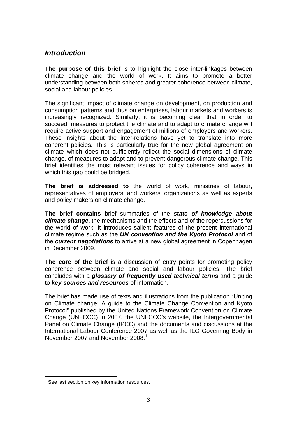## *Introduction*

**The purpose of this brief** is to highlight the close inter-linkages between climate change and the world of work. It aims to promote a better understanding between both spheres and greater coherence between climate, social and labour policies.

The significant impact of climate change on development, on production and consumption patterns and thus on enterprises, labour markets and workers is increasingly recognized. Similarly, it is becoming clear that in order to succeed, measures to protect the climate and to adapt to climate change will require active support and engagement of millions of employers and workers. These insights about the inter-relations have yet to translate into more coherent policies. This is particularly true for the new global agreement on climate which does not sufficiently reflect the social dimensions of climate change, of measures to adapt and to prevent dangerous climate change. This brief identifies the most relevant issues for policy coherence and ways in which this gap could be bridged.

**The brief is addressed to** the world of work, ministries of labour, representatives of employers' and workers' organizations as well as experts and policy makers on climate change.

**The brief contains** brief summaries of the *state of knowledge about climate change*, the mechanisms and the effects and of the repercussions for the world of work. It introduces salient features of the present international climate regime such as the *UN convention and the Kyoto Protocol* and of the *current negotiations* to arrive at a new global agreement in Copenhagen in December 2009.

**The core of the brief** is a discussion of entry points for promoting policy coherence between climate and social and labour policies. The brief concludes with a *glossary of frequently used technical terms* and a guide to *key sources and resources* of information.

The brief has made use of texts and illustrations from the publication "Uniting on Climate change: A guide to the Climate Change Convention and Kyoto Protocol" published by the United Nations Framework Convention on Climate Change (UNFCCC) in 2007, the UNFCCC's website, the Intergovernmental Panel on Climate Change (IPCC) and the documents and discussions at the International Labour Conference 2007 as well as the ILO Governing Body in November 2007 and November 2008. $^1$ 

 $1$  See last section on key information resources.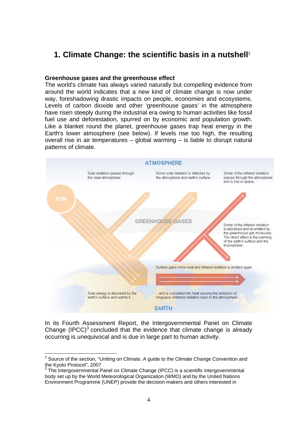## **1. Climate Change: the scientific basis in a nutshell**<sup>2</sup>

#### **Greenhouse gases and the greenhouse effect**

The world's climate has always varied naturally but compelling evidence from around the world indicates that a new kind of climate change is now under way, foreshadowing drastic impacts on people, economies and ecosystems. Levels of carbon dioxide and other 'greenhouse gases' in the atmosphere have risen steeply during the industrial era owing to human activities like fossil fuel use and deforestation, spurred on by economic and population growth. Like a blanket round the planet, greenhouse gases trap heat energy in the Earth's lower atmosphere (see below). If levels rise too high, the resulting overall rise in air temperatures – global warming – is liable to disrupt natural patterns of climate.



In its Fourth Assessment Report, the Intergovernmental Panel on Climate Change (IPCC) $3$  concluded that the evidence that climate change is already occurring is unequivocal and is due in large part to human activity.

 $2$  Source of the section, "Uniting on Climate. A guide to the Climate Change Convention and the Kyoto Protocol", 2007

 $3$  The Intergovernmental Panel on Climate Change (IPCC) is a scientific intergovernmental body set up by the World Meteorological Organization (WMO) and by the United Nations Environment Programme (UNEP) provide the decision-makers and others interested in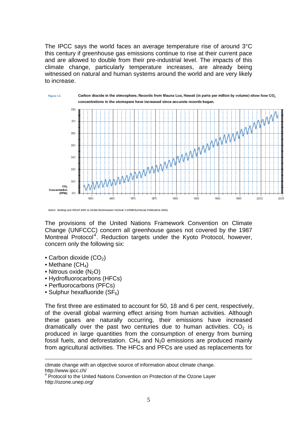The IPCC says the world faces an average temperature rise of around 3°C this century if greenhouse gas emissions continue to rise at their current pace and are allowed to double from their pre-industrial level. The impacts of this climate change, particularly temperature increases, are already being witnessed on natural and human systems around the world and are very likely to increase.



The provisions of the United Nations Framework Convention on Climate Change (UNFCCC) concern all greenhouse gases not covered by the 1987 Montreal Protocol<sup>4</sup>. Reduction targets under the Kyoto Protocol, however, concern only the following six:

- Carbon dioxide  $(CO<sub>2</sub>)$
- Methane  $(CH_4)$

 $\overline{a}$ 

- Nitrous oxide  $(N_2O)$
- Hydrofluorocarbons (HFCs)
- Perfluorocarbons (PFCs)
- Sulphur hexafluoride  $(SF_6)$

The first three are estimated to account for 50, 18 and 6 per cent, respectively, of the overall global warming effect arising from human activities. Although these gases are naturally occurring, their emissions have increased dramatically over the past two centuries due to human activities.  $CO<sub>2</sub>$  is produced in large quantities from the consumption of energy from burning fossil fuels, and deforestation.  $CH_4$  and  $N_2O$  emissions are produced mainly from agricultural activities. The HFCs and PFCs are used as replacements for

climate change with an objective source of information about climate change. http://www.ipcc.ch/

<sup>&</sup>lt;sup>4</sup> Protocol to the United Nations Convention on Protection of the Ozone Layer http://ozone.unep.org/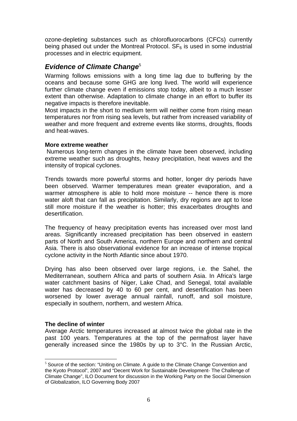ozone-depleting substances such as chlorofluorocarbons (CFCs) currently being phased out under the Montreal Protocol.  $SF<sub>6</sub>$  is used in some industrial processes and in electric equipment.

## **Evidence of Climate Change**<sup>5</sup>

Warming follows emissions with a long time lag due to buffering by the oceans and because some GHG are long lived. The world will experience further climate change even if emissions stop today, albeit to a much lesser extent than otherwise. Adaptation to climate change in an effort to buffer its negative impacts is therefore inevitable.

Most impacts in the short to medium term will neither come from rising mean temperatures nor from rising sea levels, but rather from increased variability of weather and more frequent and extreme events like storms, droughts, floods and heat-waves.

## **More extreme weather**

 Numerous long-term changes in the climate have been observed, including extreme weather such as droughts, heavy precipitation, heat waves and the intensity of tropical cyclones.

Trends towards more powerful storms and hotter, longer dry periods have been observed. Warmer temperatures mean greater evaporation, and a warmer atmosphere is able to hold more moisture -- hence there is more water aloft that can fall as precipitation. Similarly, dry regions are apt to lose still more moisture if the weather is hotter; this exacerbates droughts and desertification.

The frequency of heavy precipitation events has increased over most land areas. Significantly increased precipitation has been observed in eastern parts of North and South America, northern Europe and northern and central Asia. There is also observational evidence for an increase of intense tropical cyclone activity in the North Atlantic since about 1970.

Drying has also been observed over large regions, i.e. the Sahel, the Mediterranean, southern Africa and parts of southern Asia. In Africa's large water catchment basins of Niger, Lake Chad, and Senegal, total available water has decreased by 40 to 60 per cent, and desertification has been worsened by lower average annual rainfall, runoff, and soil moisture, especially in southern, northern, and western Africa.

## **The decline of winter**

 $\overline{a}$ 

Average Arctic temperatures increased at almost twice the global rate in the past 100 years. Temperatures at the top of the permafrost layer have generally increased since the 1980s by up to 3°C. In the Russian Arctic,

<sup>&</sup>lt;sup>5</sup> Source of the section: "Uniting on Climate. A guide to the Climate Change Convention and the Kyoto Protocol", 2007 and "Decent Work for Sustainable Development- The Challenge of Climate Change", ILO Document for discussion in the Working Party on the Social Dimension of Globalization, ILO Governing Body 2007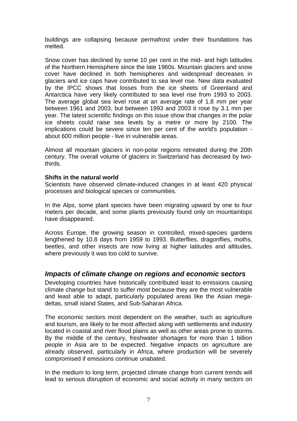buildings are collapsing because permafrost under their foundations has melted.

Snow cover has declined by some 10 per cent in the mid- and high latitudes of the Northern Hemisphere since the late 1960s. Mountain glaciers and snow cover have declined in both hemispheres and widespread decreases in glaciers and ice caps have contributed to sea level rise. New data evaluated by the IPCC shows that losses from the ice sheets of Greenland and Antarctica have very likely contributed to sea level rise from 1993 to 2003. The average global sea level rose at an average rate of 1.8 mm per year between 1961 and 2003, but between 1993 and 2003 it rose by 3.1 mm per year. The latest scientific findings on this issue show that changes in the polar ice sheets could raise sea levels by a metre or more by 2100. The implications could be severe since ten per cent of the world's population about 600 million people - live in vulnerable areas.

Almost all mountain glaciers in non-polar regions retreated during the 20th century. The overall volume of glaciers in Switzerland has decreased by twothirds.

## **Shifts in the natural world**

Scientists have observed climate-induced changes in at least 420 physical processes and biological species or communities.

In the Alps, some plant species have been migrating upward by one to four meters per decade, and some plants previously found only on mountaintops have disappeared.

Across Europe, the growing season in controlled, mixed-species gardens lengthened by 10.8 days from 1959 to 1993. Butterflies, dragonflies, moths, beetles, and other insects are now living at higher latitudes and altitudes, where previously it was too cold to survive.

## *Impacts of climate change on regions and economic sectors*

Developing countries have historically contributed least to emissions causing climate change but stand to suffer most because they are the most vulnerable and least able to adapt, particularly populated areas like the Asian megadeltas, small island States, and Sub-Saharan Africa.

The economic sectors most dependent on the weather, such as agriculture and tourism, are likely to be most affected along with settlements and industry located in coastal and river flood plains as well as other areas prone to storms. By the middle of the century, freshwater shortages for more than 1 billion people in Asia are to be expected. Negative impacts on agriculture are already observed, particularly in Africa, where production will be severely compromised if emissions continue unabated.

In the medium to long term, projected climate change from current trends will lead to serious disruption of economic and social activity in many sectors on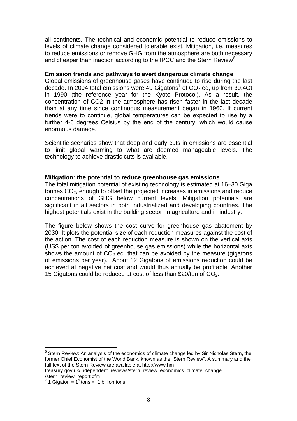all continents. The technical and economic potential to reduce emissions to levels of climate change considered tolerable exist. Mitigation, i.e. measures to reduce emissions or remove GHG from the atmosphere are both necessary and cheaper than inaction according to the IPCC and the Stern Review<sup>6</sup>.

#### **Emission trends and pathways to avert dangerous climate change**

Global emissions of greenhouse gases have continued to rise during the last decade. In 2004 total emissions were 49 Gigatons<sup>7</sup> of CO<sub>2</sub> eq, up from 39.4Gt in 1990 (the reference year for the Kyoto Protocol). As a result, the concentration of CO2 in the atmosphere has risen faster in the last decade than at any time since continuous measurement began in 1960. If current trends were to continue, global temperatures can be expected to rise by a further 4-6 degrees Celsius by the end of the century, which would cause enormous damage.

Scientific scenarios show that deep and early cuts in emissions are essential to limit global warming to what are deemed manageable levels. The technology to achieve drastic cuts is available.

#### **Mitigation: the potential to reduce greenhouse gas emissions**

The total mitigation potential of existing technology is estimated at 16–30 Giga tonnes  $CO<sub>2</sub>$ , enough to offset the projected increases in emissions and reduce concentrations of GHG below current levels. Mitigation potentials are significant in all sectors in both industrialized and developing countries. The highest potentials exist in the building sector, in agriculture and in industry.

The figure below shows the cost curve for greenhouse gas abatement by 2030. It plots the potential size of each reduction measures against the cost of the action. The cost of each reduction measure is shown on the vertical axis (US\$ per ton avoided of greenhouse gas emissions) while the horizontal axis shows the amount of  $CO<sub>2</sub>$  eq. that can be avoided by the measure (gigatons of emissions per year). About 12 Gigatons of emissions reduction could be achieved at negative net cost and would thus actually be profitable. Another 15 Gigatons could be reduced at cost of less than \$20/ton of  $CO<sub>2</sub>$ .

 $^6$  Stern Review: An analysis of the economics of climate change led by Sir Nicholas Stern, the former Chief Economist of the World Bank, known as the "Stern Review". A summary and the full text of the Stern Review are available at http://www.hm-

treasury.gov.uk/independent\_reviews/stern\_review\_economics\_climate\_change /stern\_review\_report.cfm

 $<sup>7</sup>$  1 Gigaton =  $1<sup>9</sup>$  tons = 1 billion tons</sup>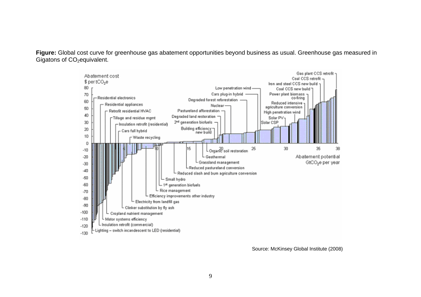**Figure:** Global cost curve for greenhouse gas abatement opportunities beyond business as usual. Greenhouse gas measured in Gigatons of CO<sub>2</sub>equivalent.



Source: McKinsey Global Institute (2008)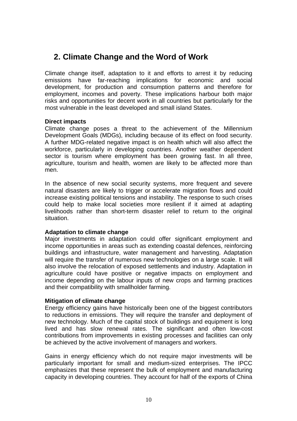## **2. Climate Change and the Word of Work**

Climate change itself, adaptation to it and efforts to arrest it by reducing emissions have far-reaching implications for economic and social development, for production and consumption patterns and therefore for employment, incomes and poverty. These implications harbour both major risks and opportunities for decent work in all countries but particularly for the most vulnerable in the least developed and small island States.

## **Direct impacts**

Climate change poses a threat to the achievement of the Millennium Development Goals (MDGs), including because of its effect on food security. A further MDG-related negative impact is on health which will also affect the workforce, particularly in developing countries. Another weather dependent sector is tourism where employment has been growing fast. In all three, agriculture, tourism and health, women are likely to be affected more than men.

In the absence of new social security systems, more frequent and severe natural disasters are likely to trigger or accelerate migration flows and could increase existing political tensions and instability. The response to such crises could help to make local societies more resilient if it aimed at adapting livelihoods rather than short-term disaster relief to return to the original situation.

## **Adaptation to climate change**

Major investments in adaptation could offer significant employment and income opportunities in areas such as extending coastal defences, reinforcing buildings and infrastructure, water management and harvesting. Adaptation will require the transfer of numerous new technologies on a large scale. It will also involve the relocation of exposed settlements and industry. Adaptation in agriculture could have positive or negative impacts on employment and income depending on the labour inputs of new crops and farming practices and their compatibility with smallholder farming.

## **Mitigation of climate change**

Energy efficiency gains have historically been one of the biggest contributors to reductions in emissions. They will require the transfer and deployment of new technology. Much of the capital stock of buildings and equipment is long lived and has slow renewal rates. The significant and often low-cost contributions from improvements in existing processes and facilities can only be achieved by the active involvement of managers and workers.

Gains in energy efficiency which do not require major investments will be particularly important for small and medium-sized enterprises. The IPCC emphasizes that these represent the bulk of employment and manufacturing capacity in developing countries. They account for half of the exports of China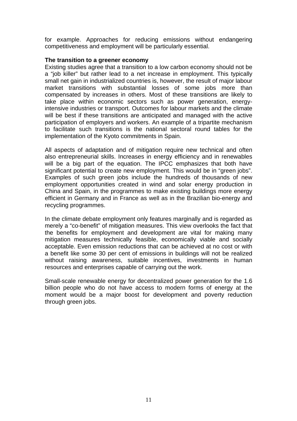for example. Approaches for reducing emissions without endangering competitiveness and employment will be particularly essential.

## **The transition to a greener economy**

Existing studies agree that a transition to a low carbon economy should not be a "job killer" but rather lead to a net increase in employment. This typically small net gain in industrialized countries is, however, the result of major labour market transitions with substantial losses of some jobs more than compensated by increases in others. Most of these transitions are likely to take place within economic sectors such as power generation, energyintensive industries or transport. Outcomes for labour markets and the climate will be best if these transitions are anticipated and managed with the active participation of employers and workers. An example of a tripartite mechanism to facilitate such transitions is the national sectoral round tables for the implementation of the Kyoto commitments in Spain.

All aspects of adaptation and of mitigation require new technical and often also entrepreneurial skills. Increases in energy efficiency and in renewables will be a big part of the equation. The IPCC emphasizes that both have significant potential to create new employment. This would be in "green jobs". Examples of such green jobs include the hundreds of thousands of new employment opportunities created in wind and solar energy production in China and Spain, in the programmes to make existing buildings more energy efficient in Germany and in France as well as in the Brazilian bio-energy and recycling programmes.

In the climate debate employment only features marginally and is regarded as merely a "co-benefit" of mitigation measures. This view overlooks the fact that the benefits for employment and development are vital for making many mitigation measures technically feasible, economically viable and socially acceptable. Even emission reductions that can be achieved at no cost or with a benefit like some 30 per cent of emissions in buildings will not be realized without raising awareness, suitable incentives, investments in human resources and enterprises capable of carrying out the work.

Small-scale renewable energy for decentralized power generation for the 1.6 billion people who do not have access to modern forms of energy at the moment would be a major boost for development and poverty reduction through green jobs.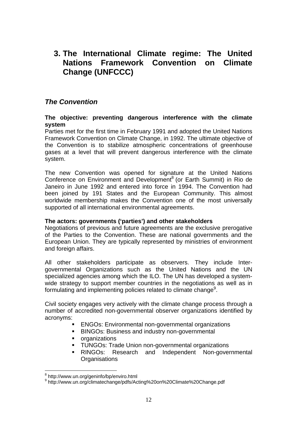## **3. The International Climate regime: The United Nations Framework Convention on Climate Change (UNFCCC)**

## *The Convention*

## **The objective: preventing dangerous interference with the climate system**

Parties met for the first time in February 1991 and adopted the United Nations Framework Convention on Climate Change, in 1992. The ultimate objective of the Convention is to stabilize atmospheric concentrations of greenhouse gases at a level that will prevent dangerous interference with the climate system.

The new Convention was opened for signature at the United Nations Conference on Environment and Development<sup>8</sup> (or Earth Summit) in Rio de Janeiro in June 1992 and entered into force in 1994. The Convention had been joined by 191 States and the European Community. This almost worldwide membership makes the Convention one of the most universally supported of all international environmental agreements.

## **The actors: governments ('parties') and other stakeholders**

Negotiations of previous and future agreements are the exclusive prerogative of the Parties to the Convention. These are national governments and the European Union. They are typically represented by ministries of environment and foreign affairs.

All other stakeholders participate as observers. They include Intergovernmental Organizations such as the United Nations and the UN specialized agencies among which the ILO. The UN has developed a systemwide strategy to support member countries in the negotiations as well as in formulating and implementing policies related to climate change<sup>9</sup>.

Civil society engages very actively with the climate change process through a number of accredited non-governmental observer organizations identified by acronyms:

- ENGOs: Environmental non-governmental organizations
- **BINGOs: Business and industry non-governmental**
- organizations
- **TUNGOs: Trade Union non-governmental organizations**
- RINGOs: Research and Independent Non-governmental **Organisations**

 $\overline{a}$ <sup>8</sup> http://www.un.org/geninfo/bp/enviro.html

<sup>9</sup> http://www.un.org/climatechange/pdfs/Acting%20on%20Climate%20Change.pdf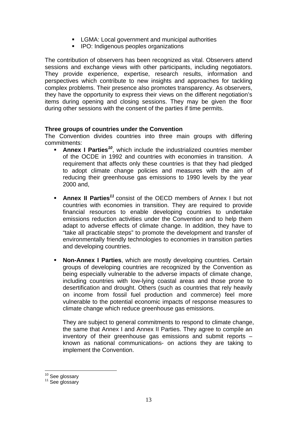- **EXTERMA:** Local government and municipal authorities
- **IPO:** Indigenous peoples organizations

The contribution of observers has been recognized as vital. Observers attend sessions and exchange views with other participants, including negotiators. They provide experience, expertise, research results, information and perspectives which contribute to new insights and approaches for tackling complex problems. Their presence also promotes transparency. As observers, they have the opportunity to express their views on the different negotiation's items during opening and closing sessions. They may be given the floor during other sessions with the consent of the parties if time permits.

## **Three groups of countries under the Convention**

The Convention divides countries into three main groups with differing commitments:

- **Annex I Parties<sup>10</sup>**, which include the industrialized countries member of the OCDE in 1992 and countries with economies in transition. A requirement that affects only these countries is that they had pledged to adopt climate change policies and measures with the aim of reducing their greenhouse gas emissions to 1990 levels by the year 2000 and,
- **Annex II Parties***<sup>11</sup>* consist of the OECD members of Annex I but not countries with economies in transition. They are required to provide financial resources to enable developing countries to undertake emissions reduction activities under the Convention and to help them adapt to adverse effects of climate change. In addition, they have to "take all practicable steps" to promote the development and transfer of environmentally friendly technologies to economies in transition parties and developing countries.
- **Non-Annex I Parties**, which are mostly developing countries. Certain groups of developing countries are recognized by the Convention as being especially vulnerable to the adverse impacts of climate change, including countries with low-lying coastal areas and those prone to desertification and drought. Others (such as countries that rely heavily on income from fossil fuel production and commerce) feel more vulnerable to the potential economic impacts of response measures to climate change which reduce greenhouse gas emissions.

They are subject to general commitments to respond to climate change, the same that Annex I and Annex II Parties. They agree to compile an inventory of their greenhouse gas emissions and submit reports – known as national communications- on actions they are taking to implement the Convention.

 $10^{10}$  See glossary<br> $11$  See glossary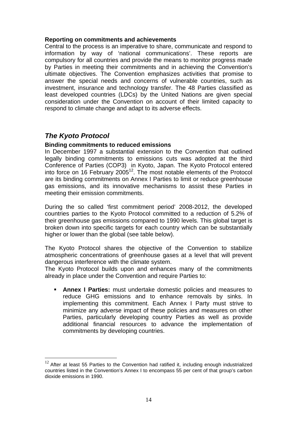## **Reporting on commitments and achievements**

Central to the process is an imperative to share, communicate and respond to information by way of 'national communications'. These reports are compulsory for all countries and provide the means to monitor progress made by Parties in meeting their commitments and in achieving the Convention's ultimate objectives. The Convention emphasizes activities that promise to answer the special needs and concerns of vulnerable countries, such as investment, insurance and technology transfer. The 48 Parties classified as least developed countries (LDCs) by the United Nations are given special consideration under the Convention on account of their limited capacity to respond to climate change and adapt to its adverse effects.

## *The Kyoto Protocol*

 $\overline{a}$ 

## **Binding commitments to reduced emissions**

In December 1997 a substantial extension to the Convention that outlined legally binding commitments to emissions cuts was adopted at the third Conference of Parties (COP3) in Kyoto, Japan. The Kyoto Protocol entered into force on 16 February 2005 $12$ . The most notable elements of the Protocol are its binding commitments on Annex I Parties to limit or reduce greenhouse gas emissions, and its innovative mechanisms to assist these Parties in meeting their emission commitments.

During the so called 'first commitment period' 2008-2012, the developed countries parties to the Kyoto Protocol committed to a reduction of 5.2% of their greenhouse gas emissions compared to 1990 levels. This global target is broken down into specific targets for each country which can be substantially higher or lower than the global (see table below).

The Kyoto Protocol shares the objective of the Convention to stabilize atmospheric concentrations of greenhouse gases at a level that will prevent dangerous interference with the climate system.

The Kyoto Protocol builds upon and enhances many of the commitments already in place under the Convention and require Parties to:

**Annex I Parties:** must undertake domestic policies and measures to reduce GHG emissions and to enhance removals by sinks. In implementing this commitment. Each Annex I Party must strive to minimize any adverse impact of these policies and measures on other Parties, particularly developing country Parties as well as provide additional financial resources to advance the implementation of commitments by developing countries.

 $12$  After at least 55 Parties to the Convention had ratified it, including enough industrialized countries listed in the Convention's Annex I to encompass 55 per cent of that group's carbon dioxide emissions in 1990.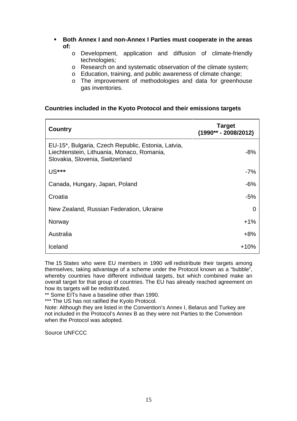- **Both Annex I and non-Annex I Parties must cooperate in the areas of:** 
	- o Development, application and diffusion of climate-friendly technologies;
	- o Research on and systematic observation of the climate system;
	- o Education, training, and public awareness of climate change;
	- o The improvement of methodologies and data for greenhouse gas inventories.

## **Countries included in the Kyoto Protocol and their emissions targets**

| <b>Country</b>                                                                                                                      | <b>Target</b><br>$(1990** - 2008/2012)$ |
|-------------------------------------------------------------------------------------------------------------------------------------|-----------------------------------------|
| EU-15*, Bulgaria, Czech Republic, Estonia, Latvia,<br>Liechtenstein, Lithuania, Monaco, Romania,<br>Slovakia, Slovenia, Switzerland | $-8%$                                   |
| US***                                                                                                                               | $-7%$                                   |
| Canada, Hungary, Japan, Poland                                                                                                      | $-6%$                                   |
| Croatia                                                                                                                             | -5%                                     |
| New Zealand, Russian Federation, Ukraine                                                                                            |                                         |
| Norway                                                                                                                              | $+1%$                                   |
| Australia                                                                                                                           | $+8%$                                   |
| Iceland                                                                                                                             | $+10%$                                  |

The 15 States who were EU members in 1990 will redistribute their targets among themselves, taking advantage of a scheme under the Protocol known as a "bubble", whereby countries have different individual targets, but which combined make an overall target for that group of countries. The EU has already reached agreement on how its targets will be redistributed.

\*\* Some EITs have a baseline other than 1990.

\*\*\* The US has not ratified the Kyoto Protocol.

Note: Although they are listed in the Convention's Annex I, Belarus and Turkey are not included in the Protocol's Annex B as they were not Parties to the Convention when the Protocol was adopted.

Source UNFCCC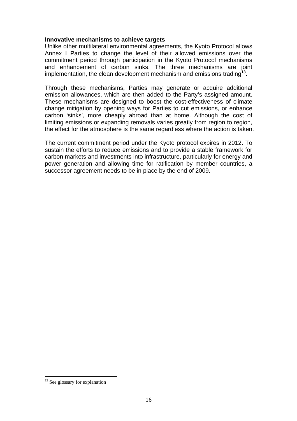## **Innovative mechanisms to achieve targets**

Unlike other multilateral environmental agreements, the Kyoto Protocol allows Annex I Parties to change the level of their allowed emissions over the commitment period through participation in the Kyoto Protocol mechanisms and enhancement of carbon sinks. The three mechanisms are joint implementation, the clean development mechanism and emissions trading  $13$ .

Through these mechanisms, Parties may generate or acquire additional emission allowances, which are then added to the Party's assigned amount. These mechanisms are designed to boost the cost-effectiveness of climate change mitigation by opening ways for Parties to cut emissions, or enhance carbon 'sinks', more cheaply abroad than at home. Although the cost of limiting emissions or expanding removals varies greatly from region to region, the effect for the atmosphere is the same regardless where the action is taken.

The current commitment period under the Kyoto protocol expires in 2012. To sustain the efforts to reduce emissions and to provide a stable framework for carbon markets and investments into infrastructure, particularly for energy and power generation and allowing time for ratification by member countries, a successor agreement needs to be in place by the end of 2009.

<sup>&</sup>lt;sup>13</sup> See glossary for explanation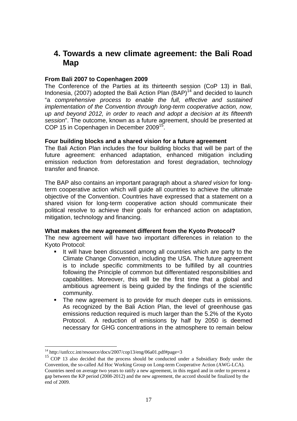## **4. Towards a new climate agreement: the Bali Road Map**

## **From Bali 2007 to Copenhagen 2009**

The Conference of the Parties at its thirteenth session (CoP 13) in Bali, Indonesia, (2007) adopted the Bali Action Plan  $(BAP)^{14}$  and decided to launch "a *comprehensive process to enable the full, effective and sustained implementation of the Convention through long-term cooperative action, now, up and beyond 2012, in order to reach and adopt a decision at its fifteenth session*". The outcome, known as a future agreement, should be presented at COP 15 in Copenhagen in December 2009<sup>15</sup>.

## **Four building blocks and a shared vision for a future agreement**

The Bali Action Plan includes the four building blocks that will be part of the future agreement: enhanced adaptation, enhanced mitigation including emission reduction from deforestation and forest degradation, technology transfer and finance.

The BAP also contains an important paragraph about a *shared vision* for longterm cooperative action which will guide all countries to achieve the ultimate objective of the Convention. Countries have expressed that a statement on a shared vision for long-term cooperative action should communicate their political resolve to achieve their goals for enhanced action on adaptation, mitigation, technology and financing.

#### **What makes the new agreement different from the Kyoto Protocol?**

The new agreement will have two important differences in relation to the Kyoto Protocol:

- It will have been discussed among all countries which are party to the Climate Change Convention, including the USA. The future agreement is to include specific commitments to be fulfilled by all countries following the Principle of common but differentiated responsibilities and capabilities. Moreover, this will be the first time that a global and ambitious agreement is being guided by the findings of the scientific community.
- The new agreement is to provide for much deeper cuts in emissions. As recognized by the Bali Action Plan, the level of greenhouse gas emissions reduction required is much larger than the 5.2% of the Kyoto Protocol. A reduction of emissions by half by 2050 is deemed necessary for GHG concentrations in the atmosphere to remain below

<sup>&</sup>lt;sup>14</sup> http://unfccc.int/resource/docs/2007/cop13/eng/06a01.pdf#page=3

<sup>&</sup>lt;sup>15</sup> COP 13 also decided that the process should be conducted under a Subsidiary Body under the Convention, the so-called Ad Hoc Working Group on Long-term Cooperative Action (AWG-LCA). Countries need on average two years to ratify a new agreement, in this regard and in order to prevent a gap between the KP period (2008-2012) and the new agreement, the accord should be finalized by the end of 2009.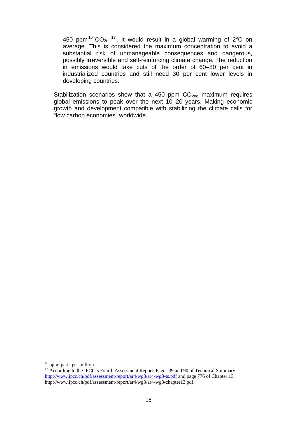450 ppm<sup>16</sup>  $CO_{2eq}$ <sup>17</sup>. It would result in a global warming of 2<sup>o</sup>C on average. This is considered the maximum concentration to avoid a substantial risk of unmanageable consequences and dangerous, possibly irreversible and self-reinforcing climate change. The reduction in emissions would take cuts of the order of 60–80 per cent in industrialized countries and still need 30 per cent lower levels in developing countries.

Stabilization scenarios show that a 450 ppm  $CO<sub>2eq</sub>$  maximum requires global emissions to peak over the next 10–20 years. Making economic growth and development compatible with stabilizing the climate calls for "low carbon economies" worldwide.

<sup>&</sup>lt;sup>16</sup> ppm: parts per million

<sup>&</sup>lt;sup>17</sup> According to the IPCC's Fourth Assessment Report: Pages 39 and 90 of Technical Summary http://www.ipcc.ch/pdf/assessment-report/ar4/wg3/ar4-wg3-ts.pdf and page 776 of Chapter 13 http://www.ipcc.ch/pdf/assessment-report/ar4/wg3/ar4-wg3-chapter13.pdf.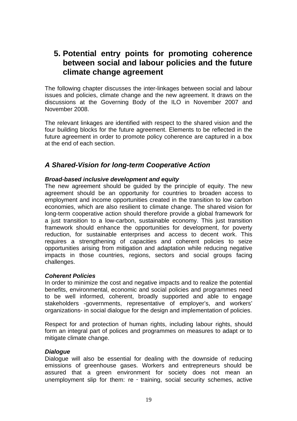## **5. Potential entry points for promoting coherence between social and labour policies and the future climate change agreement**

The following chapter discusses the inter-linkages between social and labour issues and policies, climate change and the new agreement. It draws on the discussions at the Governing Body of the ILO in November 2007 and November 2008.

The relevant linkages are identified with respect to the shared vision and the four building blocks for the future agreement. Elements to be reflected in the future agreement in order to promote policy coherence are captured in a box at the end of each section.

## *A Shared-Vision for long-term Cooperative Action*

## *Broad-based inclusive development and equity*

The new agreement should be guided by the principle of equity. The new agreement should be an opportunity for countries to broaden access to employment and income opportunities created in the transition to low carbon economies, which are also resilient to climate change. The shared vision for long-term cooperative action should therefore provide a global framework for a just transition to a low-carbon, sustainable economy. This just transition framework should enhance the opportunities for development, for poverty reduction, for sustainable enterprises and access to decent work. This requires a strengthening of capacities and coherent policies to seize opportunities arising from mitigation and adaptation while reducing negative impacts in those countries, regions, sectors and social groups facing challenges.

## *Coherent Policies*

In order to minimize the cost and negative impacts and to realize the potential benefits, environmental, economic and social policies and programmes need to be well informed, coherent, broadly supported and able to engage stakeholders -governments, representative of employer's, and workers' organizations- in social dialogue for the design and implementation of policies.

Respect for and protection of human rights, including labour rights, should form an integral part of polices and programmes on measures to adapt or to mitigate climate change.

## *Dialogue*

Dialogue will also be essential for dealing with the downside of reducing emissions of greenhouse gases. Workers and entrepreneurs should be assured that a green environment for society does not mean an unemployment slip for them: re - training, social security schemes, active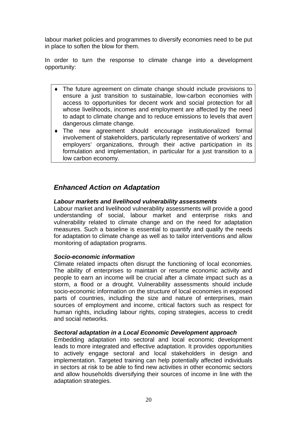labour market policies and programmes to diversify economies need to be put in place to soften the blow for them.

In order to turn the response to climate change into a development opportunity:

- ♦ The future agreement on climate change should include provisions to ensure a just transition to sustainable, low-carbon economies with access to opportunities for decent work and social protection for all whose livelihoods, incomes and employment are affected by the need to adapt to climate change and to reduce emissions to levels that avert dangerous climate change.
- ♦ The new agreement should encourage institutionalized formal involvement of stakeholders, particularly representative of workers' and employers' organizations, through their active participation in its formulation and implementation, in particular for a just transition to a low carbon economy.

## *Enhanced Action on Adaptation*

## *Labour markets and livelihood vulnerability assessments*

Labour market and livelihood vulnerability assessments will provide a good understanding of social, labour market and enterprise risks and vulnerability related to climate change and on the need for adaptation measures. Such a baseline is essential to quantify and qualify the needs for adaptation to climate change as well as to tailor interventions and allow monitoring of adaptation programs.

## *Socio-economic information*

Climate related impacts often disrupt the functioning of local economies. The ability of enterprises to maintain or resume economic activity and people to earn an income will be crucial after a climate impact such as a storm, a flood or a drought. Vulnerability assessments should include socio-economic information on the structure of local economies in exposed parts of countries, including the size and nature of enterprises, main sources of employment and income, critical factors such as respect for human rights, including labour rights, coping strategies, access to credit and social networks.

## *Sectoral adaptation in a Local Economic Development approach*

Embedding adaptation into sectoral and local economic development leads to more integrated and effective adaptation. It provides opportunities to actively engage sectoral and local stakeholders in design and implementation. Targeted training can help potentially affected individuals in sectors at risk to be able to find new activities in other economic sectors and allow households diversifying their sources of income in line with the adaptation strategies.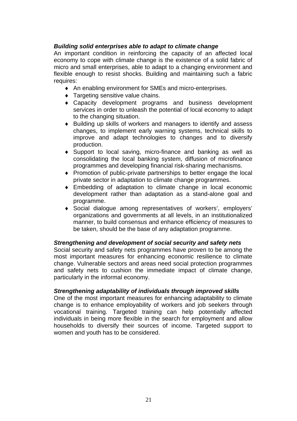## *Building solid enterprises able to adapt to climate change*

An important condition in reinforcing the capacity of an affected local economy to cope with climate change is the existence of a solid fabric of micro and small enterprises, able to adapt to a changing environment and flexible enough to resist shocks. Building and maintaining such a fabric requires:

- ♦ An enabling environment for SMEs and micro-enterprises.
- ♦ Targeting sensitive value chains.
- ♦ Capacity development programs and business development services in order to unleash the potential of local economy to adapt to the changing situation.
- ♦ Building up skills of workers and managers to identify and assess changes, to implement early warning systems, technical skills to improve and adapt technologies to changes and to diversify production.
- ♦ Support to local saving, micro-finance and banking as well as consolidating the local banking system, diffusion of microfinance programmes and developing financial risk-sharing mechanisms.
- ♦ Promotion of public-private partnerships to better engage the local private sector in adaptation to climate change programmes.
- ♦ Embedding of adaptation to climate change in local economic development rather than adaptation as a stand-alone goal and programme.
- ♦ Social dialogue among representatives of workers', employers' organizations and governments at all levels, in an institutionalized manner, to build consensus and enhance efficiency of measures to be taken, should be the base of any adaptation programme.

## *Strengthening and development of social security and safety nets*

Social security and safety nets programmes have proven to be among the most important measures for enhancing economic resilience to climate change. Vulnerable sectors and areas need social protection programmes and safety nets to cushion the immediate impact of climate change, particularly in the informal economy.

## *Strengthening adaptability of individuals through improved skills*

One of the most important measures for enhancing adaptability to climate change is to enhance employability of workers and job seekers through vocational training. Targeted training can help potentially affected individuals in being more flexible in the search for employment and allow households to diversify their sources of income. Targeted support to women and youth has to be considered.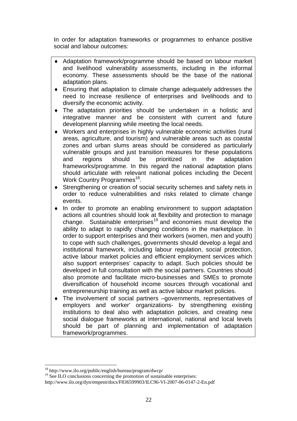In order for adaptation frameworks or programmes to enhance positive social and labour outcomes:

- ♦ Adaptation framework/programme should be based on labour market and livelihood vulnerability assessments, including in the informal economy. These assessments should be the base of the national adaptation plans.
- ♦ Ensuring that adaptation to climate change adequately addresses the need to increase resilience of enterprises and livelihoods and to diversify the economic activity.
- ♦ The adaptation priorities should be undertaken in a holistic and integrative manner and be consistent with current and future development planning while meeting the local needs.
- ♦ Workers and enterprises in highly vulnerable economic activities (rural areas, agriculture, and tourism) and vulnerable areas such as coastal zones and urban slums areas should be considered as particularly vulnerable groups and just transition measures for these populations and regions should be prioritized in the adaptation frameworks/programme. In this regard the national adaptation plans should articulate with relevant national polices including the Decent Work Country Programmes<sup>18</sup>.
- ♦ Strengthening or creation of social security schemes and safety nets in order to reduce vulnerabilities and risks related to climate change events.
- ♦ In order to promote an enabling environment to support adaptation actions all countries should look at flexibility and protection to manage change. Sustainable enterprises<sup>19</sup> and economies must develop the ability to adapt to rapidly changing conditions in the marketplace. In order to support enterprises and their workers (women, men and youth) to cope with such challenges, governments should develop a legal and institutional framework, including labour regulation, social protection, active labour market policies and efficient employment services which also support enterprises' capacity to adapt. Such policies should be developed in full consultation with the social partners. Countries should also promote and facilitate micro-businesses and SMEs to promote diversification of household income sources through vocational and entrepreneurship training as well as active labour market policies.
- ♦ The involvement of social partners –governments, representatives of employers and worker' organizations- by strengthening existing institutions to deal also with adaptation policies, and creating new social dialogue frameworks at international, national and local levels should be part of planning and implementation of adaptation framework/programmes.

<sup>18</sup> http://www.ilo.org/public/english/bureau/program/dwcp/

 $19$  See ILO conclusions concerning the promotion of sustainable enterprises:

http://www.ilo.org/dyn/empent/docs/F836599903/ILC96-VI-2007-06-0147-2-En.pdf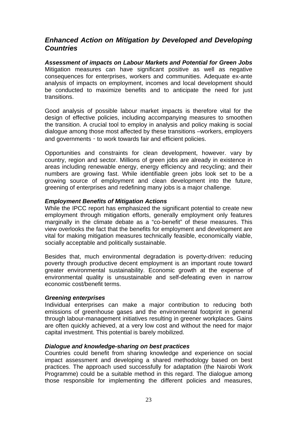## *Enhanced Action on Mitigation by Developed and Developing Countries*

*Assessment of impacts on Labour Markets and Potential for Green Jobs* Mitigation measures can have significant positive as well as negative consequences for enterprises, workers and communities. Adequate ex-ante analysis of impacts on employment, incomes and local development should be conducted to maximize benefits and to anticipate the need for just transitions.

Good analysis of possible labour market impacts is therefore vital for the design of effective policies, including accompanying measures to smoothen the transition. A crucial tool to employ in analysis and policy making is social dialogue among those most affected by these transitions –workers, employers and governments - to work towards fair and efficient policies.

Opportunities and constraints for clean development, however. vary by country, region and sector. Millions of green jobs are already in existence in areas including renewable energy, energy efficiency and recycling; and their numbers are growing fast. While identifiable green jobs look set to be a growing source of employment and clean development into the future, greening of enterprises and redefining many jobs is a major challenge.

## *Employment Benefits of Mitigation Actions*

While the IPCC report has emphasized the significant potential to create new employment through mitigation efforts, generally employment only features marginally in the climate debate as a "co-benefit" of these measures. This view overlooks the fact that the benefits for employment and development are vital for making mitigation measures technically feasible, economically viable, socially acceptable and politically sustainable.

Besides that, much environmental degradation is poverty-driven: reducing poverty through productive decent employment is an important route toward greater environmental sustainability. Economic growth at the expense of environmental quality is unsustainable and self-defeating even in narrow economic cost/benefit terms.

## *Greening enterprises*

Individual enterprises can make a major contribution to reducing both emissions of greenhouse gases and the environmental footprint in general through labour-management initiatives resulting in greener workplaces. Gains are often quickly achieved, at a very low cost and without the need for major capital investment. This potential is barely mobilized.

## *Dialogue and knowledge-sharing on best practices*

Countries could benefit from sharing knowledge and experience on social impact assessment and developing a shared methodology based on best practices. The approach used successfully for adaptation (the Nairobi Work Programme) could be a suitable method in this regard. The dialogue among those responsible for implementing the different policies and measures,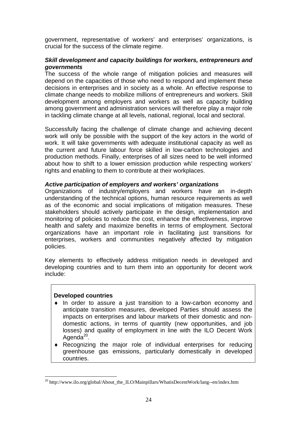government, representative of workers' and enterprises' organizations, is crucial for the success of the climate regime.

## *Skill development and capacity buildings for workers, entrepreneurs and governments*

The success of the whole range of mitigation policies and measures will depend on the capacities of those who need to respond and implement these decisions in enterprises and in society as a whole. An effective response to climate change needs to mobilize millions of entrepreneurs and workers. Skill development among employers and workers as well as capacity building among government and administration services will therefore play a major role in tackling climate change at all levels, national, regional, local and sectoral.

Successfully facing the challenge of climate change and achieving decent work will only be possible with the support of the key actors in the world of work. It will take governments with adequate institutional capacity as well as the current and future labour force skilled in low-carbon technologies and production methods. Finally, enterprises of all sizes need to be well informed about how to shift to a lower emission production while respecting workers' rights and enabling to them to contribute at their workplaces.

## *Active participation of employers and workers' organizations*

Organizations of industry/employers and workers have an in-depth understanding of the technical options, human resource requirements as well as of the economic and social implications of mitigation measures. These stakeholders should actively participate in the design, implementation and monitoring of policies to reduce the cost, enhance the effectiveness, improve health and safety and maximize benefits in terms of employment. Sectoral organizations have an important role in facilitating just transitions for enterprises, workers and communities negatively affected by mitigation policies.

Key elements to effectively address mitigation needs in developed and developing countries and to turn them into an opportunity for decent work include:

#### **Developed countries**

- ♦ In order to assure a just transition to a low-carbon economy and anticipate transition measures, developed Parties should assess the impacts on enterprises and labour markets of their domestic and nondomestic actions, in terms of quantity (new opportunities, and job losses) and quality of employment in line with the ILO Decent Work Agenda $^{20}$ .
- ♦ Recognizing the major role of individual enterprises for reducing greenhouse gas emissions, particularly domestically in developed countries.

<sup>&</sup>lt;sup>20</sup> http://www.ilo.org/global/About\_the\_ILO/Mainpillars/WhatisDecentWork/lang--en/index.htm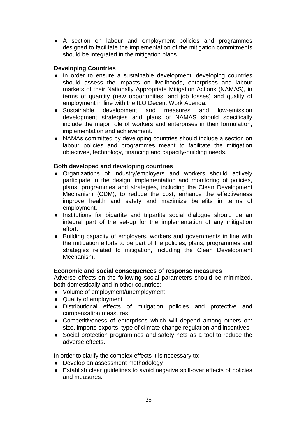♦ A section on labour and employment policies and programmes designed to facilitate the implementation of the mitigation commitments should be integrated in the mitigation plans.

## **Developing Countries**

- ♦ In order to ensure a sustainable development, developing countries should assess the impacts on livelihoods, enterprises and labour markets of their Nationally Appropriate Mitigation Actions (NAMAS), in terms of quantity (new opportunities, and job losses) and quality of employment in line with the ILO Decent Work Agenda.
- ♦ Sustainable development and measures and low-emission development strategies and plans of NAMAS should specifically include the major role of workers and enterprises in their formulation, implementation and achievement.
- ♦ NAMAs committed by developing countries should include a section on labour policies and programmes meant to facilitate the mitigation objectives, technology, financing and capacity-building needs.

## **Both developed and developing countries**

- ♦ Organizations of industry/employers and workers should actively participate in the design, implementation and monitoring of policies, plans, programmes and strategies, including the Clean Development Mechanism (CDM), to reduce the cost, enhance the effectiveness improve health and safety and maximize benefits in terms of employment.
- ♦ Institutions for bipartite and tripartite social dialogue should be an integral part of the set-up for the implementation of any mitigation effort.
- ♦ Building capacity of employers, workers and governments in line with the mitigation efforts to be part of the policies, plans, programmes and strategies related to mitigation, including the Clean Development Mechanism.

## **Economic and social consequences of response measures**

Adverse effects on the following social parameters should be minimized, both domestically and in other countries:

- ♦ Volume of employment/unemployment
- ♦ Quality of employment
- ♦ Distributional effects of mitigation policies and protective and compensation measures
- ♦ Competitiveness of enterprises which will depend among others on: size, imports-exports, type of climate change regulation and incentives
- ♦ Social protection programmes and safety nets as a tool to reduce the adverse effects.

In order to clarify the complex effects it is necessary to:

- ♦ Develop an assessment methodology
- ♦ Establish clear guidelines to avoid negative spill-over effects of policies and measures.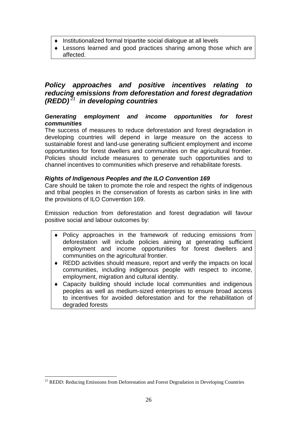- ♦ Institutionalized formal tripartite social dialogue at all levels
- ♦ Lessons learned and good practices sharing among those which are affected.

## *Policy approaches and positive incentives relating to reducing emissions from deforestation and forest degradation (REDD)<sup>21</sup> in developing countries*

## *Generating employment and income opportunities for forest communities*

The success of measures to reduce deforestation and forest degradation in developing countries will depend in large measure on the access to sustainable forest and land-use generating sufficient employment and income opportunities for forest dwellers and communities on the agricultural frontier. Policies should include measures to generate such opportunities and to channel incentives to communities which preserve and rehabilitate forests.

## *Rights of Indigenous Peoples and the ILO Convention 169*

Care should be taken to promote the role and respect the rights of indigenous and tribal peoples in the conservation of forests as carbon sinks in line with the provisions of ILO Convention 169.

Emission reduction from deforestation and forest degradation will favour positive social and labour outcomes by:

- Policy approaches in the framework of reducing emissions from deforestation will include policies aiming at generating sufficient employment and income opportunities for forest dwellers and communities on the agricultural frontier.
- ♦ REDD activities should measure, report and verify the impacts on local communities, including indigenous people with respect to income, employment, migration and cultural identity.
- ♦ Capacity building should include local communities and indigenous peoples as well as medium-sized enterprises to ensure broad access to incentives for avoided deforestation and for the rehabilitation of degraded forests

<sup>&</sup>lt;sup>21</sup> REDD: Reducing Emissions from Deforestation and Forest Degradation in Developing Countries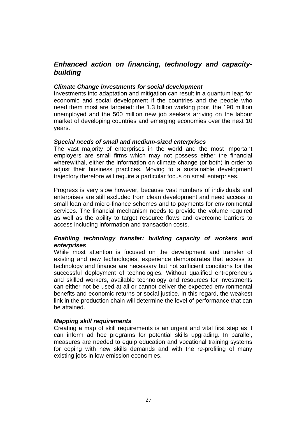## *Enhanced action on financing, technology and capacitybuilding*

## *Climate Change investments for social development*

Investments into adaptation and mitigation can result in a quantum leap for economic and social development if the countries and the people who need them most are targeted: the 1.3 billion working poor, the 190 million unemployed and the 500 million new job seekers arriving on the labour market of developing countries and emerging economies over the next 10 years.

## *Special needs of small and medium-sized enterprises*

The vast majority of enterprises in the world and the most important employers are small firms which may not possess either the financial wherewithal, either the information on climate change (or both) in order to adjust their business practices. Moving to a sustainable development trajectory therefore will require a particular focus on small enterprises.

Progress is very slow however, because vast numbers of individuals and enterprises are still excluded from clean development and need access to small loan and micro-finance schemes and to payments for environmental services. The financial mechanism needs to provide the volume required as well as the ability to target resource flows and overcome barriers to access including information and transaction costs.

## *Enabling technology transfer: building capacity of workers and enterprises*

While most attention is focused on the development and transfer of existing and new technologies, experience demonstrates that access to technology and finance are necessary but not sufficient conditions for the successful deployment of technologies. Without qualified entrepreneurs and skilled workers, available technology and resources for investments can either not be used at all or cannot deliver the expected environmental benefits and economic returns or social justice. In this regard, the weakest link in the production chain will determine the level of performance that can be attained.

## *Mapping skill requirements*

Creating a map of skill requirements is an urgent and vital first step as it can inform ad hoc programs for potential skills upgrading. In parallel, measures are needed to equip education and vocational training systems for coping with new skills demands and with the re-profiling of many existing jobs in low-emission economies.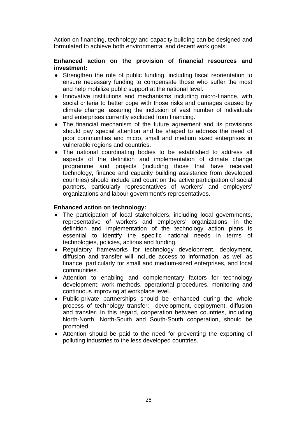Action on financing, technology and capacity building can be designed and formulated to achieve both environmental and decent work goals:

## **Enhanced action on the provision of financial resources and investment:**

- ♦ Strengthen the role of public funding, including fiscal reorientation to ensure necessary funding to compensate those who suffer the most and help mobilize public support at the national level.
- ♦ Innovative institutions and mechanisms including micro-finance, with social criteria to better cope with those risks and damages caused by climate change, assuring the inclusion of vast number of individuals and enterprises currently excluded from financing.
- ♦ The financial mechanism of the future agreement and its provisions should pay special attention and be shaped to address the need of poor communities and micro, small and medium sized enterprises in vulnerable regions and countries.
- ♦ The national coordinating bodies to be established to address all aspects of the definition and implementation of climate change programme and projects (including those that have received technology, finance and capacity building assistance from developed countries) should include and count on the active participation of social partners, particularly representatives of workers' and employers' organizations and labour government's representatives.

## **Enhanced action on technology:**

- ♦ The participation of local stakeholders, including local governments, representative of workers and employers' organizations, in the definition and implementation of the technology action plans is essential to identify the specific national needs in terms of technologies, policies, actions and funding.
- ♦ Regulatory frameworks for technology development, deployment, diffusion and transfer will include access to information, as well as finance, particularly for small and medium-sized enterprises, and local communities.
- ♦ Attention to enabling and complementary factors for technology development: work methods, operational procedures, monitoring and continuous improving at workplace level.
- ♦ Public-private partnerships should be enhanced during the whole process of technology transfer: development, deployment, diffusion and transfer. In this regard, cooperation between countries, including North-North, North-South and South-South cooperation, should be promoted.
- ♦ Attention should be paid to the need for preventing the exporting of polluting industries to the less developed countries.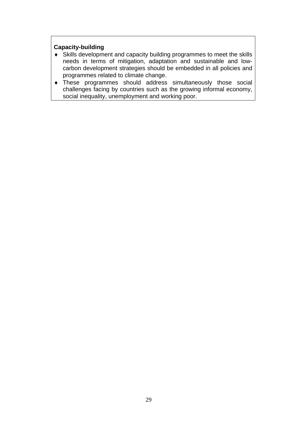## **Capacity-building**

- ♦ Skills development and capacity building programmes to meet the skills needs in terms of mitigation, adaptation and sustainable and lowcarbon development strategies should be embedded in all policies and programmes related to climate change.
- ♦ These programmes should address simultaneously those social challenges facing by countries such as the growing informal economy, social inequality, unemployment and working poor.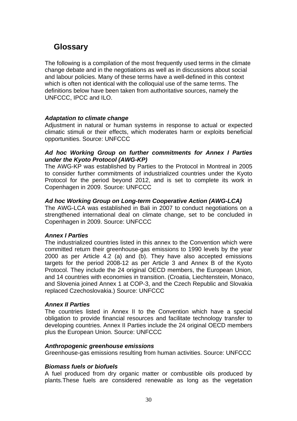## **Glossary**

The following is a compilation of the most frequently used terms in the climate change debate and in the negotiations as well as in discussions about social and labour policies. Many of these terms have a well-defined in this context which is often not identical with the colloquial use of the same terms. The definitions below have been taken from authoritative sources, namely the UNFCCC, IPCC and ILO.

## *Adaptation to climate change*

Adjustment in natural or human systems in response to actual or expected climatic stimuli or their effects, which moderates harm or exploits beneficial opportunities. Source: UNFCCC

## *Ad hoc Working Group on further commitments for Annex I Parties under the Kyoto Protocol (AWG-KP)*

The AWG-KP was established by Parties to the Protocol in Montreal in 2005 to consider further commitments of industrialized countries under the Kyoto Protocol for the period beyond 2012, and is set to complete its work in Copenhagen in 2009. Source: UNFCCC

## *Ad hoc Working Group on Long-term Cooperative Action (AWG-LCA)*

The AWG-LCA was established in Bali in 2007 to conduct negotiations on a strengthened international deal on climate change, set to be concluded in Copenhagen in 2009. Source: UNFCCC

## *Annex I Parties*

The industrialized countries listed in this annex to the Convention which were committed return their greenhouse-gas emissions to 1990 levels by the year 2000 as per Article 4.2 (a) and (b). They have also accepted emissions targets for the period 2008-12 as per Article 3 and Annex B of the Kyoto Protocol. They include the 24 original OECD members, the European Union, and 14 countries with economies in transition. (Croatia, Liechtenstein, Monaco, and Slovenia joined Annex 1 at COP-3, and the Czech Republic and Slovakia replaced Czechoslovakia.) Source: UNFCCC

## *Annex II Parties*

The countries listed in Annex II to the Convention which have a special obligation to provide financial resources and facilitate technology transfer to developing countries. Annex II Parties include the 24 original OECD members plus the European Union. Source: UNFCCC

## *Anthropogenic greenhouse emissions*

Greenhouse-gas emissions resulting from human activities. Source: UNFCCC

## *Biomass fuels or biofuels*

A fuel produced from dry organic matter or combustible oils produced by plants.These fuels are considered renewable as long as the vegetation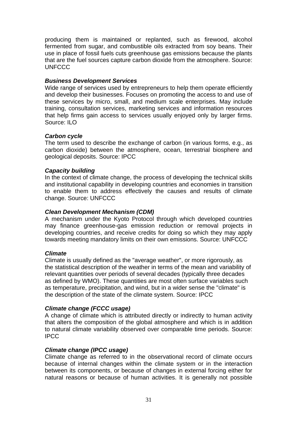producing them is maintained or replanted, such as firewood, alcohol fermented from sugar, and combustible oils extracted from soy beans. Their use in place of fossil fuels cuts greenhouse gas emissions because the plants that are the fuel sources capture carbon dioxide from the atmosphere. Source: UNFCCC

## *Business Development Services*

Wide range of services used by entrepreneurs to help them operate efficiently and develop their businesses. Focuses on promoting the access to and use of these services by micro, small, and medium scale enterprises. May include training, consultation services, marketing services and information resources that help firms gain access to services usually enjoyed only by larger firms. Source: ILO

## *Carbon cycle*

The term used to describe the exchange of carbon (in various forms, e.g., as carbon dioxide) between the atmosphere, ocean, terrestrial biosphere and geological deposits. Source: IPCC

## *Capacity building*

In the context of climate change, the process of developing the technical skills and institutional capability in developing countries and economies in transition to enable them to address effectively the causes and results of climate change. Source: UNFCCC

## *Clean Development Mechanism (CDM)*

A mechanism under the Kyoto Protocol through which developed countries may finance greenhouse-gas emission reduction or removal projects in developing countries, and receive credits for doing so which they may apply towards meeting mandatory limits on their own emissions. Source: UNFCCC

## *Climate*

Climate is usually defined as the "average weather", or more rigorously, as the statistical description of the weather in terms of the mean and variability of relevant quantities over periods of several decades (typically three decades as defined by WMO). These quantities are most often surface variables such as temperature, precipitation, and wind, but in a wider sense the "climate" is the description of the state of the climate system. Source: IPCC

## *Climate change (FCCC usage)*

A change of climate which is attributed directly or indirectly to human activity that alters the composition of the global atmosphere and which is in addition to natural climate variability observed over comparable time periods. Source: IPCC

## *Climate change (IPCC usage)*

Climate change as referred to in the observational record of climate occurs because of internal changes within the climate system or in the interaction between its components, or because of changes in external forcing either for natural reasons or because of human activities. It is generally not possible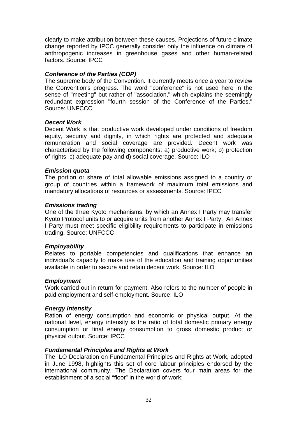clearly to make attribution between these causes. Projections of future climate change reported by IPCC generally consider only the influence on climate of anthropogenic increases in greenhouse gases and other human-related factors. Source: IPCC

## *Conference of the Parties (COP)*

The supreme body of the Convention. It currently meets once a year to review the Convention's progress. The word "conference" is not used here in the sense of "meeting" but rather of "association," which explains the seemingly redundant expression "fourth session of the Conference of the Parties." Source: UNFCCC

## *Decent Work*

Decent Work is that productive work developed under conditions of freedom equity, security and dignity, in which rights are protected and adequate remuneration and social coverage are provided. Decent work was characterised by the following components: a) productive work; b) protection of rights; c) adequate pay and d) social coverage. Source: ILO

## *Emission quota*

The portion or share of total allowable emissions assigned to a country or group of countries within a framework of maximum total emissions and mandatory allocations of resources or assessments. Source: IPCC

## *Emissions trading*

One of the three Kyoto mechanisms, by which an Annex I Party may transfer Kyoto Protocol units to or acquire units from another Annex I Party. An Annex I Party must meet specific eligibility requirements to participate in emissions trading. Source: UNFCCC

## *Employability*

Relates to portable competencies and qualifications that enhance an individual's capacity to make use of the education and training opportunities available in order to secure and retain decent work. Source: ILO

#### *Employment*

Work carried out in return for payment. Also refers to the number of people in paid employment and self-employment. Source: ILO

## *Energy intensity*

Ration of energy consumption and economic or physical output. At the national level, energy intensity is the ratio of total domestic primary energy consumption or final energy consumption to gross domestic product or physical output. Source: IPCC

#### *Fundamental Principles and Rights at Work*

The ILO Declaration on Fundamental Principles and Rights at Work, adopted in June 1998, highlights this set of core labour principles endorsed by the international community. The Declaration covers four main areas for the establishment of a social "floor" in the world of work: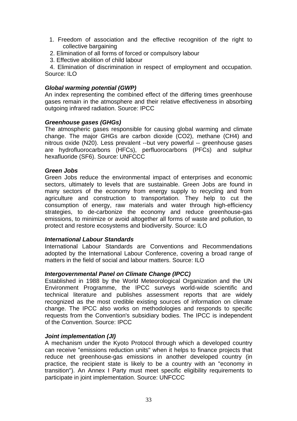- 1. Freedom of association and the effective recognition of the right to collective bargaining
- 2. Elimination of all forms of forced or compulsory labour
- 3. Effective abolition of child labour

 4. Elimination of discrimination in respect of employment and occupation. Source: ILO

## *Global warming potential (GWP)*

An index representing the combined effect of the differing times greenhouse gases remain in the atmosphere and their relative effectiveness in absorbing outgoing infrared radiation. Source: IPCC

#### *Greenhouse gases (GHGs)*

The atmospheric gases responsible for causing global warming and climate change. The major GHGs are carbon dioxide (CO2), methane (CH4) and nitrous oxide (N20). Less prevalent --but very powerful -- greenhouse gases are hydrofluorocarbons (HFCs), perfluorocarbons (PFCs) and sulphur hexafluoride (SF6). Source: UNFCCC

#### *Green Jobs*

Green Jobs reduce the environmental impact of enterprises and economic sectors, ultimately to levels that are sustainable. Green Jobs are found in many sectors of the economy from energy supply to recycling and from agriculture and construction to transportation. They help to cut the consumption of energy, raw materials and water through high-efficiency strategies, to de-carbonize the economy and reduce greenhouse-gas emissions, to minimize or avoid altogether all forms of waste and pollution, to protect and restore ecosystems and biodiversity. Source: ILO

#### *International Labour Standards*

International Labour Standards are Conventions and Recommendations adopted by the International Labour Conference, covering a broad range of matters in the field of social and labour matters. Source: ILO

## *Intergovernmental Panel on Climate Change (IPCC)*

Established in 1988 by the World Meteorological Organization and the UN Environment Programme, the IPCC surveys world-wide scientific and technical literature and publishes assessment reports that are widely recognized as the most credible existing sources of information on climate change. The IPCC also works on methodologies and responds to specific requests from the Convention's subsidiary bodies. The IPCC is independent of the Convention. Source: IPCC

#### *Joint implementation (JI)*

A mechanism under the Kyoto Protocol through which a developed country can receive "emissions reduction units" when it helps to finance projects that reduce net greenhouse-gas emissions in another developed country (in practice, the recipient state is likely to be a country with an "economy in transition"). An Annex I Party must meet specific eligibility requirements to participate in joint implementation. Source: UNFCCC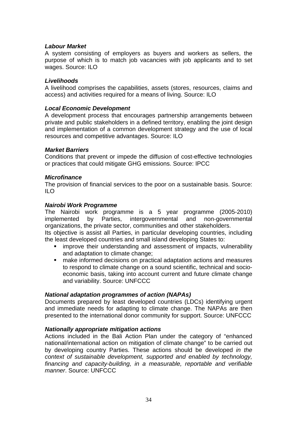## *Labour Market*

A system consisting of employers as buyers and workers as sellers, the purpose of which is to match job vacancies with job applicants and to set wages. Source: ILO

#### *Livelihoods*

A livelihood comprises the capabilities, assets (stores, resources, claims and access) and activities required for a means of living. Source: ILO

## *Local Economic Development*

A development process that encourages partnership arrangements between private and public stakeholders in a defined territory, enabling the joint design and implementation of a common development strategy and the use of local resources and competitive advantages. Source: ILO

## *Market Barriers*

Conditions that prevent or impede the diffusion of cost-effective technologies or practices that could mitigate GHG emissions. Source: IPCC

## *Microfinance*

The provision of financial services to the poor on a sustainable basis. Source: ILO

## *Nairobi Work Programme*

The Nairobi work programme is a 5 year programme (2005-2010) implemented by Parties, intergovernmental and non-governmental organizations, the private sector, communities and other stakeholders. Its objective is assist all Parties, in particular developing countries, including

the least developed countries and small island developing States to:

- improve their understanding and assessment of impacts, vulnerability and adaptation to climate change;
- make informed decisions on practical adaptation actions and measures to respond to climate change on a sound scientific, technical and socioeconomic basis, taking into account current and future climate change and variability. Source: UNFCCC

#### *National adaptation programmes of action (NAPAs)*

Documents prepared by least developed countries (LDCs) identifying urgent and immediate needs for adapting to climate change. The NAPAs are then presented to the international donor community for support. Source: UNFCCC

#### *Nationally appropriate mitigation actions*

Actions included in the Bali Action Plan under the category of "enhanced national/international action on mitigation of climate change" to be carried out by developing country Parties. These actions should be developed *in the context of sustainable development, supported and enabled by technology, financing and capacity-building, in a measurable, reportable and verifiable manner*. Source: UNFCCC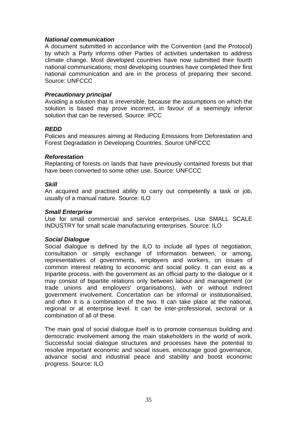## *National communication*

A document submitted in accordance with the Convention (and the Protocol) by which a Party informs other Parties of activities undertaken to address climate change. Most developed countries have now submitted their fourth national communications; most developing countries have completed their first national communication and are in the process of preparing their second. Source: UNFCCC

## *Precautionary principal*

Avoiding a solution that is irreversible, because the assumptions on which the solution is based may prove incorrect, in favour of a seemingly inferior solution that can be reversed. Source: IPCC

## *REDD*

Policies and measures aiming at Reducing Emissions from Deforestation and Forest Degradation in Developing Countries. Source UNFCCC

## *Reforestation*

Replanting of forests on lands that have previously contained forests but that have been converted to some other use. Source: UNFCCC

## *Skill*

An acquired and practised ability to carry out competently a task or job, usually of a manual nature. Source: ILO

#### *Small Enterprise*

Use for small commercial and service enterprises. Use SMALL SCALE INDUSTRY for small scale manufacturing enterprises. Source: ILO

#### *Social Dialogue*

Social dialogue is defined by the ILO to include all types of negotiation, consultation or simply exchange of information between, or among, representatives of governments, employers and workers, on issues of common interest relating to economic and social policy. It can exist as a tripartite process, with the government as an official party to the dialogue or it may consist of bipartite relations only between labour and management (or trade unions and employers' organisations), with or without indirect government involvement. Concertation can be informal or institutionalised, and often it is a combination of the two. It can take place at the national, regional or at enterprise level. It can be inter-professional, sectoral or a combination of all of these.

The main goal of social dialogue itself is to promote consensus building and democratic involvement among the main stakeholders in the world of work. Successful social dialogue structures and processes have the potential to resolve important economic and social issues, encourage good governance, advance social and industrial peace and stability and boost economic progress. Source: ILO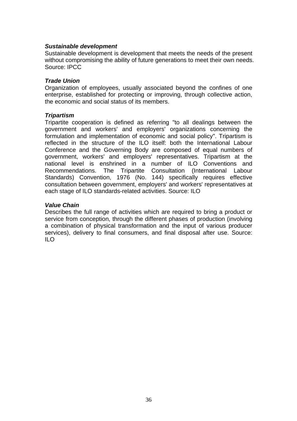## *Sustainable development*

Sustainable development is development that meets the needs of the present without compromising the ability of future generations to meet their own needs. Source: IPCC

#### *Trade Union*

Organization of employees, usually associated beyond the confines of one enterprise, established for protecting or improving, through collective action, the economic and social status of its members.

## *Tripartism*

Tripartite cooperation is defined as referring "to all dealings between the government and workers' and employers' organizations concerning the formulation and implementation of economic and social policy". Tripartism is reflected in the structure of the ILO itself: both the International Labour Conference and the Governing Body are composed of equal numbers of government, workers' and employers' representatives. Tripartism at the national level is enshrined in a number of ILO Conventions and Recommendations. The Tripartite Consultation (International Labour Standards) Convention, 1976 (No. 144) specifically requires effective consultation between government, employers' and workers' representatives at each stage of ILO standards-related activities. Source: ILO

## *Value Chain*

Describes the full range of activities which are required to bring a product or service from conception, through the different phases of production (involving a combination of physical transformation and the input of various producer services), delivery to final consumers, and final disposal after use. Source: ILO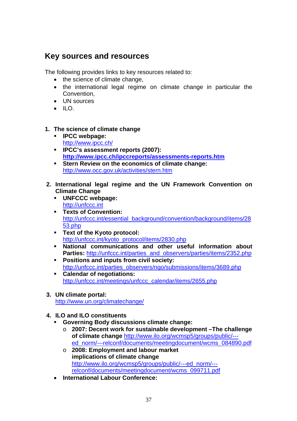## **Key sources and resources**

The following provides links to key resources related to:

- the science of climate change,
- the international legal regime on climate change in particular the Convention,
- UN sources
- $\bullet$  ILO.

## **1. The science of climate change**

- **IPCC webpage:** http://www.ipcc.ch/
- **IPCC's assessment reports (2007): http://www.ipcc.ch/ipccreports/assessments-reports.htm**
- **Stern Review on the economics of climate change:**  http://www.occ.gov.uk/activities/stern.htm
- **2. International legal regime and the UN Framework Convention on Climate Change** 
	- **UNFCCC webpage:**  http://unfccc.int
	- **Texts of Convention:**  http://unfccc.int/essential\_background/convention/background/items/28 53.php
	- **Text of the Kyoto protocol:**  http://unfccc.int/kyoto\_protocol/items/2830.php
	- **National communications and other useful information about Parties: http://unfccc.int/parties\_and\_observers/parties/items/2352.php**
	- **Positions and inputs from civil society:**  http://unfccc.int/parties\_observers/ngo/submissions/items/3689.php
	- **Calendar of negotiations:**  http://unfccc.int/meetings/unfccc\_calendar/items/2655.php
- **3. UN climate portal:**

http://www.un.org/climatechange/

- **4. ILO and ILO constituents** 
	- **Governing Body discussions climate change:** 
		- o **2007: Decent work for sustainable development –The challenge of climate change** http://www.ilo.org/wcmsp5/groups/public/-- ed\_norm/---relconf/documents/meetingdocument/wcms\_084890.pdf
		- o **2008: Employment and labour market implications of climate change**  http://www.ilo.org/wcmsp5/groups/public/---ed\_norm/-- relconf/documents/meetingdocument/wcms\_099711.pdf
	- **International Labour Conference:**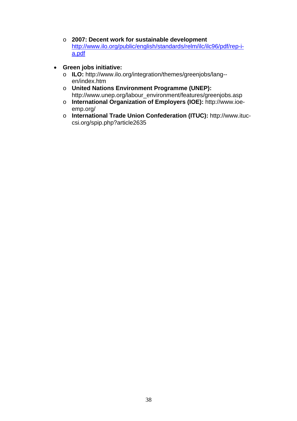- o **2007: Decent work for sustainable development**  http://www.ilo.org/public/english/standards/relm/ilc/ilc96/pdf/rep-ia.pdf
- **Green jobs initiative:** 
	- o **ILO:** http://www.ilo.org/integration/themes/greenjobs/lang- en/index.htm
	- o **United Nations Environment Programme (UNEP):**  http://www.unep.org/labour\_environment/features/greenjobs.asp
	- o **International Organization of Employers (IOE):** http://www.ioeemp.org/
	- o **International Trade Union Confederation (ITUC):** http://www.ituccsi.org/spip.php?article2635